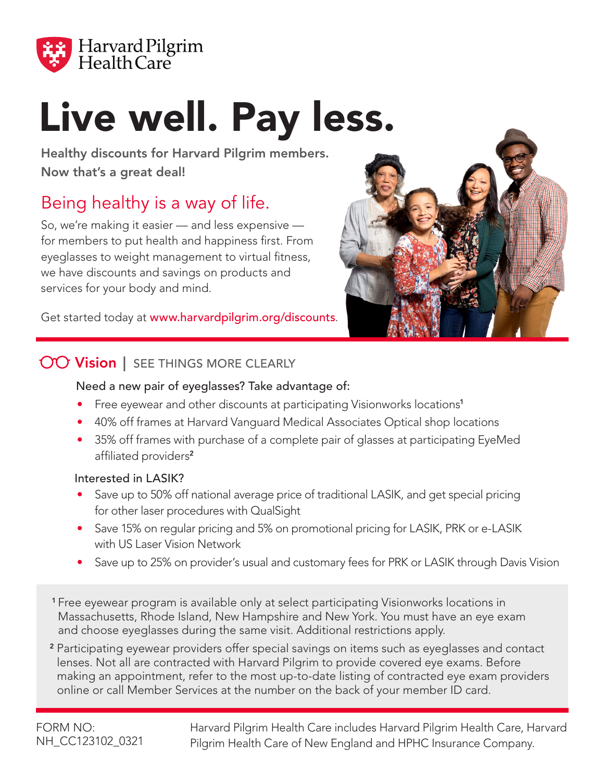

# Live well. Pay less.

Healthy discounts for Harvard Pilgrim members. Now that's a great deal!

# Being healthy is a way of life.

So, we're making it easier — and less expensive for members to put health and happiness first. From eyeglasses to weight management to virtual fitness, we have discounts and savings on products and services for your body and mind.

Get started today at www.harvardpilgrim.org/discounts.



### **OO Vision** | SEE THINGS MORE CLEARLY

#### Need a new pair of eyeglasses? Take advantage of:

- Free eyewear and other discounts at participating Visionworks locations<sup>1</sup>
- 40% off frames at Harvard Vanguard Medical Associates Optical shop locations
- 35% off frames with purchase of a complete pair of glasses at participating EyeMed affiliated providers<sup>2</sup>

#### Interested in LASIK?

- Save up to 50% off national average price of traditional LASIK, and get special pricing for other laser procedures with QualSight
- Save 15% on regular pricing and 5% on promotional pricing for LASIK, PRK or e-LASIK with US Laser Vision Network
- Save up to 25% on provider's usual and customary fees for PRK or LASIK through Davis Vision
- <sup>1</sup> Free eyewear program is available only at select participating Visionworks locations in Massachusetts, Rhode Island, New Hampshire and New York. You must have an eye exam and choose eyeglasses during the same visit. Additional restrictions apply.
- <sup>2</sup> Participating eyewear providers offer special savings on items such as eyeglasses and contact lenses. Not all are contracted with Harvard Pilgrim to provide covered eye exams. Before making an appointment, refer to the most up-to-date listing of contracted eye exam providers online or call Member Services at the number on the back of your member ID card.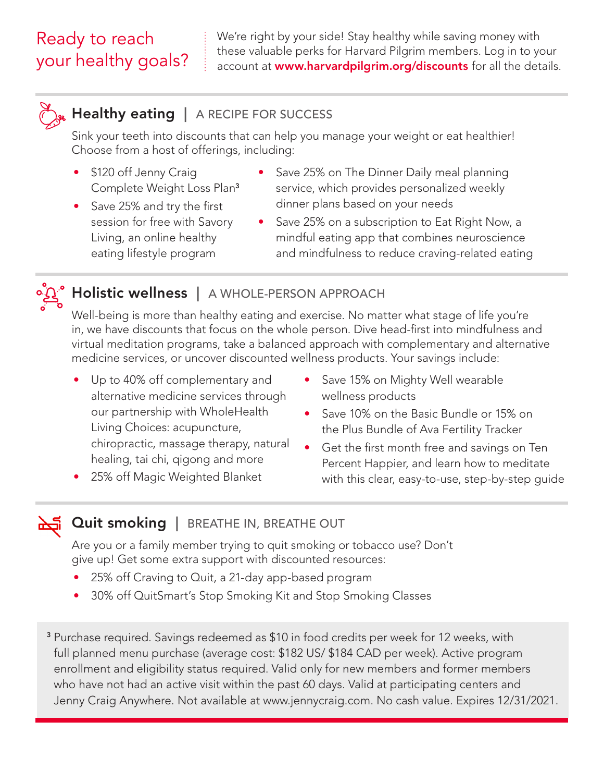## Ready to reach your healthy goals?

We're right by your side! Stay healthy while saving money with these valuable perks for Harvard Pilgrim members. Log in to your account at **www.harvardpilgrim.org/discounts** for all the details.



#### **Healthy eating** | A RECIPE FOR SUCCESS

Sink your teeth into discounts that can help you manage your weight or eat healthier! Choose from a host of offerings, including:

- \$120 off Jenny Craig Complete Weight Loss Plan<sup>3</sup>
- Save 25% and try the first session for free with Savory Living, an online healthy eating lifestyle program
- Save 25% on The Dinner Daily meal planning service, which provides personalized weekly dinner plans based on your needs
- Save 25% on a subscription to Eat Right Now, a mindful eating app that combines neuroscience and mindfulness to reduce craving-related eating



## Holistic wellness | A WHOLE-PERSON APPROACH

Well-being is more than healthy eating and exercise. No matter what stage of life you're in, we have discounts that focus on the whole person. Dive head-first into mindfulness and virtual meditation programs, take a balanced approach with complementary and alternative medicine services, or uncover discounted wellness products. Your savings include:

- Up to 40% off complementary and alternative medicine services through our partnership with WholeHealth Living Choices: acupuncture, chiropractic, massage therapy, natural healing, tai chi, qigong and more
- 25% off Magic Weighted Blanket
- Save 15% on Mighty Well wearable wellness products
- Save 10% on the Basic Bundle or 15% on the Plus Bundle of Ava Fertility Tracker
- Get the first month free and savings on Ten Percent Happier, and learn how to meditate with this clear, easy-to-use, step-by-step guide

## Quit smoking | BREATHE IN, BREATHE OUT

Are you or a family member trying to quit smoking or tobacco use? Don't give up! Get some extra support with discounted resources:

- 25% off Craving to Quit, a 21-day app-based program
- 30% off QuitSmart's Stop Smoking Kit and Stop Smoking Classes

<sup>3</sup> Purchase required. Savings redeemed as \$10 in food credits per week for 12 weeks, with full planned menu purchase (average cost: \$182 US/ \$184 CAD per week). Active program enrollment and eligibility status required. Valid only for new members and former members who have not had an active visit within the past 60 days. Valid at participating centers and Jenny Craig Anywhere. Not available at www.jennycraig.com. No cash value. Expires 12/31/2021.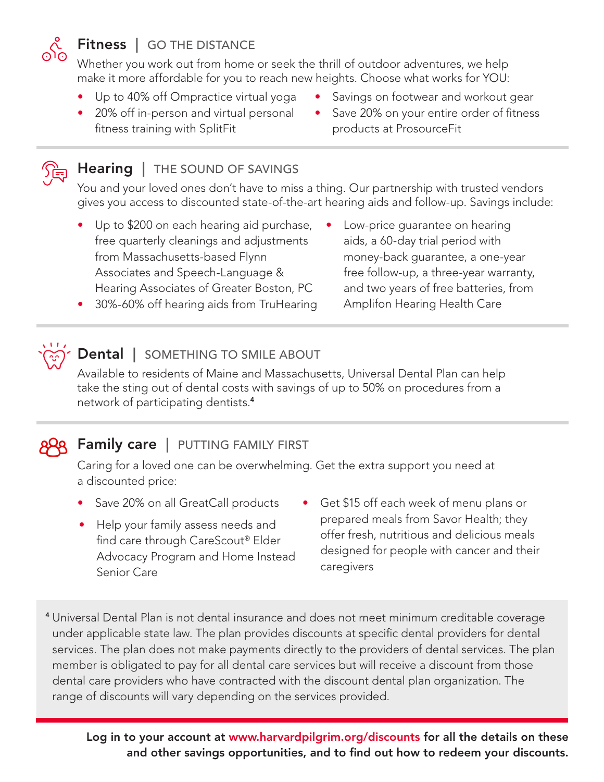

#### Fitness | GO THE DISTANCE

Whether you work out from home or seek the thrill of outdoor adventures, we help make it more affordable for you to reach new heights. Choose what works for YOU:

- Up to 40% off Ompractice virtual yoga
- 20% off in-person and virtual personal fitness training with SplitFit
- Savings on footwear and workout gear
- Save 20% on your entire order of fitness products at ProsourceFit



#### Hearing | THE SOUND OF SAVINGS

You and your loved ones don't have to miss a thing. Our partnership with trusted vendors gives you access to discounted state-of-the-art hearing aids and follow-up. Savings include:

- Up to \$200 on each hearing aid purchase, free quarterly cleanings and adjustments from Massachusetts-based Flynn Associates and Speech-Language & Hearing Associates of Greater Boston, PC
- Low-price quarantee on hearing aids, a 60-day trial period with money-back guarantee, a one-year free follow-up, a three-year warranty, and two years of free batteries, from Amplifon Hearing Health Care
- 30%-60% off hearing aids from TruHearing

# Dental | SOMETHING TO SMILE ABOUT

Available to residents of Maine and Massachusetts, Universal Dental Plan can help take the sting out of dental costs with savings of up to 50% on procedures from a network of participating dentists.<sup>4</sup>

# 88 Family care | PUTTING FAMILY FIRST

Caring for a loved one can be overwhelming. Get the extra support you need at a discounted price:

- 
- Help your family assess needs and find care through CareScout® Elder Advocacy Program and Home Instead Senior Care
- Save 20% on all GreatCall products Get \$15 off each week of menu plans or prepared meals from Savor Health; they offer fresh, nutritious and delicious meals designed for people with cancer and their caregivers
- <sup>4</sup> Universal Dental Plan is not dental insurance and does not meet minimum creditable coverage under applicable state law. The plan provides discounts at specific dental providers for dental services. The plan does not make payments directly to the providers of dental services. The plan member is obligated to pay for all dental care services but will receive a discount from those dental care providers who have contracted with the discount dental plan organization. The range of discounts will vary depending on the services provided.

Log in to your account at www.harvardpilgrim.org/discounts for all the details on these and other savings opportunities, and to find out how to redeem your discounts.